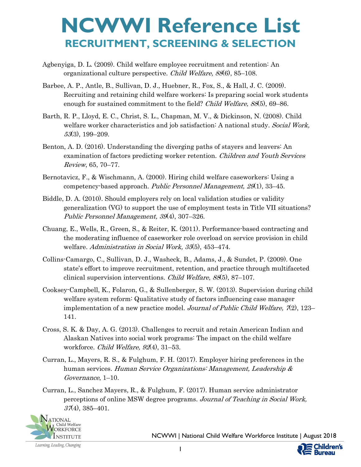- Agbenyiga, D. L. (2009). Child welfare employee recruitment and retention: An organizational culture perspective. Child Welfare, 88(6), 85–108.
- Barbee, A. P., Antle, B., Sullivan, D. J., Huebner, R., Fox, S., & Hall, J. C. (2009). Recruiting and retaining child welfare workers: Is preparing social work students enough for sustained commitment to the field? Child Welfare, 88(5), 69–86.
- Barth, R. P., Lloyd, E. C., Christ, S. L., Chapman, M. V., & Dickinson, N. (2008). Child welfare worker characteristics and job satisfaction: A national study. Social Work, 53(3), 199–209.
- Benton, A. D. (2016). Understanding the diverging paths of stayers and leavers: An examination of factors predicting worker retention. Children and Youth Services Review, 65, 70–77.
- Bernotavicz, F., & Wischmann, A. (2000). Hiring child welfare caseworkers: Using a competency-based approach. Public Personnel Management,  $29(1)$ , 33–45.
- Biddle, D. A. (2010). Should employers rely on local validation studies or validity generalization (VG) to support the use of employment tests in Title VII situations? Public Personnel Management, 39(4), 307–326.
- Chuang, E., Wells, R., Green, S., & Reiter, K. (2011). Performance-based contracting and the moderating influence of caseworker role overload on service provision in child welfare. Administration in Social Work, 35(5), 453–474.
- Collins-Camargo, C., Sullivan, D. J., Washeck, B., Adams, J., & Sundet, P. (2009). One state's effort to improve recruitment, retention, and practice through multifaceted clinical supervision interventions. *Child Welfare, 88* $(5)$ , 87–107.
- Cooksey-Campbell, K., Folaron, G., & Sullenberger, S. W. (2013). Supervision during child welfare system reform: Qualitative study of factors influencing case manager implementation of a new practice model. Journal of Public Child Welfare,  $\mathcal{I}(2)$ , 123– 141.
- Cross, S. K. & Day, A. G. (2013). Challenges to recruit and retain American Indian and Alaskan Natives into social work programs: The impact on the child welfare workforce. Child Welfare, 92(4), 31-53.
- Curran, L., Mayers, R. S., & Fulghum, F. H. (2017). Employer hiring preferences in the human services. Human Service Organizations: Management, Leadership & Governance, 1–10.
- Curran, L., Sanchez Mayers, R., & Fulghum, F. (2017). Human service administrator perceptions of online MSW degree programs. Journal of Teaching in Social Work,  $37(4)$ , 385-401.



NCWWI | National Child Welfare Workforce Institute | August 2018

ildren's Bureau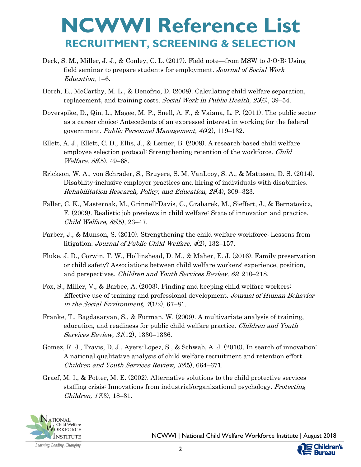- Deck, S. M., Miller, J. J., & Conley, C. L. (2017). Field note—from MSW to J-O-B: Using field seminar to prepare students for employment. Journal of Social Work Education, 1–6.
- Dorch, E., McCarthy, M. L., & Denofrio, D. (2008). Calculating child welfare separation, replacement, and training costs. Social Work in Public Health, 23(6), 39-54.
- Doverspike, D., Qin, L., Magee, M. P., Snell, A. F., & Vaiana, L. P. (2011). The public sector as a career choice: Antecedents of an expressed interest in working for the federal government. Public Personnel Management,  $40(2)$ , 119–132.
- Ellett, A. J., Ellett, C. D., Ellis, J., & Lerner, B. (2009). A research-based child welfare employee selection protocol: Strengthening retention of the workforce. Child Welfare, 88(5), 49–68.
- Erickson, W. A., von Schrader, S., Bruyere, S. M, VanLooy, S. A., & Matteson, D. S. (2014). Disability-inclusive employer practices and hiring of individuals with disabilities. Rehabilitation Research, Policy, and Education, 28(4), 309–323.
- Faller, C. K., Masternak, M., Grinnell-Davis, C., Grabarek, M., Sieffert, J., & Bernatovicz, F. (2009). Realistic job previews in child welfare: State of innovation and practice. Child Welfare, 88(5), 23–47.
- Farber, J., & Munson, S. (2010). Strengthening the child welfare workforce: Lessons from litigation. Journal of Public Child Welfare, 4(2), 132–157.
- Fluke, J. D., Corwin, T. W., Hollinshead, D. M., & Maher, E. J. (2016). Family preservation or child safety? Associations between child welfare workers' experience, position, and perspectives. Children and Youth Services Review, 69, 210–218.
- Fox, S., Miller, V., & Barbee, A. (2003). Finding and keeping child welfare workers: Effective use of training and professional development. Journal of Human Behavior in the Social Environment,  $\pi(1/2)$ , 67–81.
- Franke, T., Bagdasaryan, S., & Furman, W. (2009). A multivariate analysis of training, education, and readiness for public child welfare practice. Children and Youth Services Review, 31(12), 1330–1336.
- Gomez, R. J., Travis, D. J., Ayers-Lopez, S., & Schwab, A. J. (2010). In search of innovation: A national qualitative analysis of child welfare recruitment and retention effort. Children and Youth Services Review, 32(5), 664–671.
- Graef, M. I., & Potter, M. E. (2002). Alternative solutions to the child protective services staffing crisis: Innovations from industrial/organizational psychology. Protecting Children,  $17(3)$ , 18-31.



NCWWI | National Child Welfare Workforce Institute | August 2018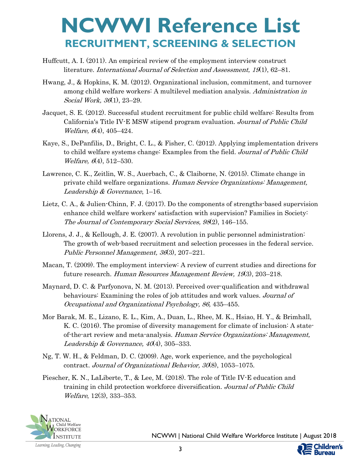- Huffcutt, A. I. (2011). An empirical review of the employment interview construct literature. *International Journal of Selection and Assessment, 19*(1), 62–81.
- Hwang, J., & Hopkins, K. M. (2012). Organizational inclusion, commitment, and turnover among child welfare workers: A multilevel mediation analysis. Administration in Social Work, 36(1), 23-29.
- Jacquet, S. E. (2012). Successful student recruitment for public child welfare: Results from California's Title IV-E MSW stipend program evaluation. Journal of Public Child Welfare, 6(4), 405-424.
- Kaye, S., DePanfilis, D., Bright, C. L., & Fisher, C. (2012). Applying implementation drivers to child welfare systems change: Examples from the field. Journal of Public Child *Welfare,*  $6(4)$ , 512–530.
- Lawrence, C. K., Zeitlin, W. S., Auerbach, C., & Claiborne, N. (2015). Climate change in private child welfare organizations. Human Service Organizations: Management, Leadership & Governance, 1–16.
- Lietz, C. A., & Julien-Chinn, F. J. (2017). Do the components of strengths-based supervision enhance child welfare workers' satisfaction with supervision? Families in Society: The Journal of Contemporary Social Services, 98(2), 146–155.
- Llorens, J. J., & Kellough, J. E. (2007). A revolution in public personnel administration: The growth of web-based recruitment and selection processes in the federal service. Public Personnel Management, 36(3), 207–221.
- Macan, T. (2009). The employment interview: A review of current studies and directions for future research. Human Resources Management Review, 19(3), 203-218.
- Maynard, D. C. & Parfyonova, N. M. (2013). Perceived over-qualification and withdrawal behaviours: Examining the roles of job attitudes and work values. Journal of Occupational and Organizational Psychology, 86, 435–455.
- Mor Barak, M. E., Lizano, E. L., Kim, A., Duan, L., Rhee, M. K., Hsiao, H. Y., & Brimhall, K. C. (2016). The promise of diversity management for climate of inclusion: A stateof-the-art review and meta-analysis. Human Service Organizations: Management, Leadership & Governance,  $40(4)$ ,  $305-333$ .
- Ng, T. W. H., & Feldman, D. C. (2009). Age, work experience, and the psychological contract. Journal of Organizational Behavior,  $30(8)$ , 1053–1075.
- Piescher, K. N., LaLiberte, T., & Lee, M. (2018). The role of Title IV-E education and training in child protection workforce diversification. Journal of Public Child Welfare, 12(3), 333–353.



NCWWI | National Child Welfare Workforce Institute | August 2018

ildren's Bureau